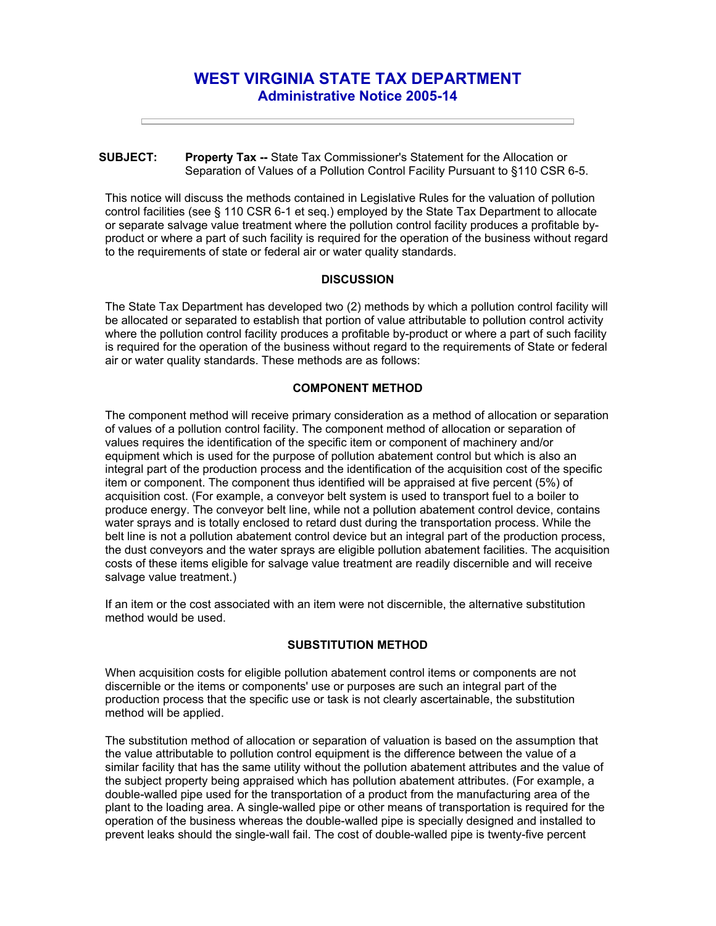# **WEST VIRGINIA STATE TAX DEPARTMENT Administrative Notice 2005-14**

#### **SUBJECT: Property Tax --** State Tax Commissioner's Statement for the Allocation or Separation of Values of a Pollution Control Facility Pursuant to §110 CSR 6-5.

This notice will discuss the methods contained in Legislative Rules for the valuation of pollution control facilities (see § 110 CSR 6-1 et seq.) employed by the State Tax Department to allocate or separate salvage value treatment where the pollution control facility produces a profitable byproduct or where a part of such facility is required for the operation of the business without regard to the requirements of state or federal air or water quality standards.

## **DISCUSSION**

The State Tax Department has developed two (2) methods by which a pollution control facility will be allocated or separated to establish that portion of value attributable to pollution control activity where the pollution control facility produces a profitable by-product or where a part of such facility is required for the operation of the business without regard to the requirements of State or federal air or water quality standards. These methods are as follows:

## **COMPONENT METHOD**

The component method will receive primary consideration as a method of allocation or separation of values of a pollution control facility. The component method of allocation or separation of values requires the identification of the specific item or component of machinery and/or equipment which is used for the purpose of pollution abatement control but which is also an integral part of the production process and the identification of the acquisition cost of the specific item or component. The component thus identified will be appraised at five percent (5%) of acquisition cost. (For example, a conveyor belt system is used to transport fuel to a boiler to produce energy. The conveyor belt line, while not a pollution abatement control device, contains water sprays and is totally enclosed to retard dust during the transportation process. While the belt line is not a pollution abatement control device but an integral part of the production process, the dust conveyors and the water sprays are eligible pollution abatement facilities. The acquisition costs of these items eligible for salvage value treatment are readily discernible and will receive salvage value treatment.)

If an item or the cost associated with an item were not discernible, the alternative substitution method would be used.

#### **SUBSTITUTION METHOD**

When acquisition costs for eligible pollution abatement control items or components are not discernible or the items or components' use or purposes are such an integral part of the production process that the specific use or task is not clearly ascertainable, the substitution method will be applied.

The substitution method of allocation or separation of valuation is based on the assumption that the value attributable to pollution control equipment is the difference between the value of a similar facility that has the same utility without the pollution abatement attributes and the value of the subject property being appraised which has pollution abatement attributes. (For example, a double-walled pipe used for the transportation of a product from the manufacturing area of the plant to the loading area. A single-walled pipe or other means of transportation is required for the operation of the business whereas the double-walled pipe is specially designed and installed to prevent leaks should the single-wall fail. The cost of double-walled pipe is twenty-five percent